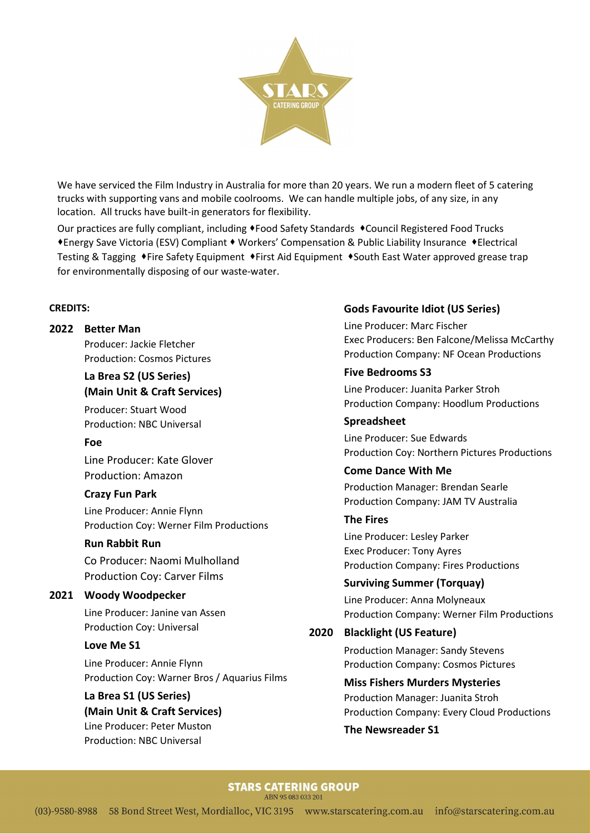

We have serviced the Film Industry in Australia for more than 20 years. We run a modern fleet of 5 catering trucks with supporting vans and mobile coolrooms. We can handle multiple jobs, of any size, in any location. All trucks have built-in generators for flexibility.

Our practices are fully compliant, including  $\bullet$  Food Safety Standards  $\bullet$  Council Registered Food Trucks ◆ Energy Save Victoria (ESV) Compliant ◆ Workers' Compensation & Public Liability Insurance ◆ Electrical Testing & Tagging ♦Fire Safety Equipment ♦First Aid Equipment ♦South East Water approved grease trap for environmentally disposing of our waste-water.

#### CREDITS:

#### 2022 Better Man

Producer: Jackie Fletcher Production: Cosmos Pictures

## La Brea S2 (US Series) (Main Unit & Craft Services)

 Producer: Stuart Wood Production: NBC Universal

#### Foe

Line Producer: Kate Glover Production: Amazon

### Crazy Fun Park

 Line Producer: Annie Flynn Production Coy: Werner Film Productions

### Run Rabbit Run

 Co Producer: Naomi Mulholland Production Coy: Carver Films

### 2021 Woody Woodpecker

Line Producer: Janine van Assen Production Coy: Universal

### Love Me S1

 Line Producer: Annie Flynn Production Coy: Warner Bros / Aquarius Films

#### La Brea S1 (US Series)

(Main Unit & Craft Services) Line Producer: Peter Muston Production: NBC Universal

### Gods Favourite Idiot (US Series)

 Line Producer: Marc Fischer Exec Producers: Ben Falcone/Melissa McCarthy Production Company: NF Ocean Productions

### Five Bedrooms S3

 Line Producer: Juanita Parker Stroh Production Company: Hoodlum Productions

#### Spreadsheet

 Line Producer: Sue Edwards Production Coy: Northern Pictures Productions

## Come Dance With Me Production Manager: Brendan Searle

Production Company: JAM TV Australia

## The Fires

 Line Producer: Lesley Parker Exec Producer: Tony Ayres Production Company: Fires Productions

Surviving Summer (Torquay) Line Producer: Anna Molyneaux Production Company: Werner Film Productions

### 2020 Blacklight (US Feature)

Production Manager: Sandy Stevens Production Company: Cosmos Pictures

Miss Fishers Murders Mysteries Production Manager: Juanita Stroh Production Company: Every Cloud Productions

#### The Newsreader S1

#### **STARS CATERING GROUP** ARN 95 083 033 201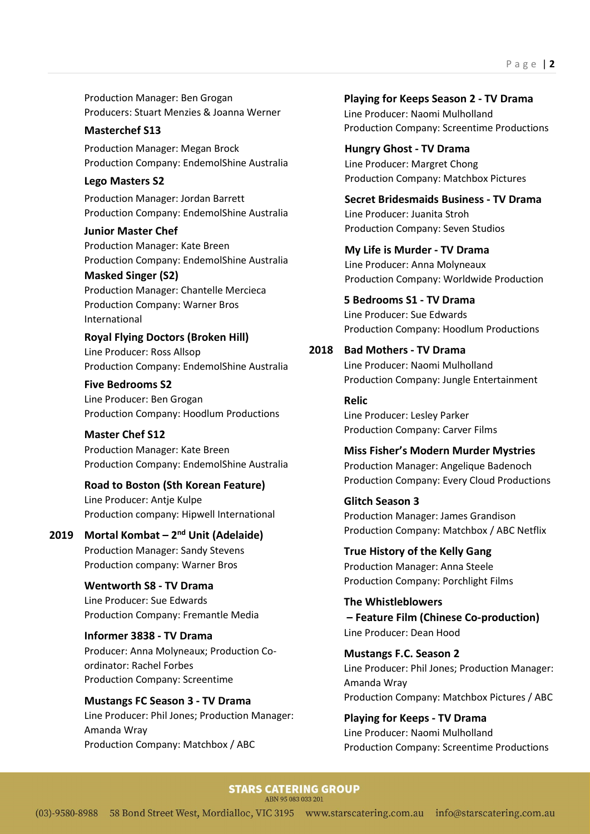Production Manager: Ben Grogan Producers: Stuart Menzies & Joanna Werner

#### Masterchef S13

Production Manager: Megan Brock Production Company: EndemolShine Australia

#### Lego Masters S2

Production Manager: Jordan Barrett Production Company: EndemolShine Australia

Junior Master Chef Production Manager: Kate Breen Production Company: EndemolShine Australia

#### Masked Singer (S2)

Production Manager: Chantelle Mercieca Production Company: Warner Bros International

Royal Flying Doctors (Broken Hill) Line Producer: Ross Allsop Production Company: EndemolShine Australia

Five Bedrooms S2 Line Producer: Ben Grogan Production Company: Hoodlum Productions

Master Chef S12 Production Manager: Kate Breen Production Company: EndemolShine Australia

Road to Boston (Sth Korean Feature)

Line Producer: Antje Kulpe Production company: Hipwell International

2019 Mortal Kombat –  $2<sup>nd</sup>$  Unit (Adelaide) Production Manager: Sandy Stevens Production company: Warner Bros

> Wentworth S8 - TV Drama Line Producer: Sue Edwards Production Company: Fremantle Media

 Informer 3838 - TV Drama Producer: Anna Molyneaux; Production Coordinator: Rachel Forbes Production Company: Screentime

 Mustangs FC Season 3 - TV Drama Line Producer: Phil Jones; Production Manager: Amanda Wray Production Company: Matchbox / ABC

Playing for Keeps Season 2 - TV Drama Line Producer: Naomi Mulholland Production Company: Screentime Productions

 Hungry Ghost - TV Drama Line Producer: Margret Chong Production Company: Matchbox Pictures

 Secret Bridesmaids Business - TV Drama Line Producer: Juanita Stroh Production Company: Seven Studios

My Life is Murder - TV Drama Line Producer: Anna Molyneaux Production Company: Worldwide Production

 5 Bedrooms S1 - TV Drama Line Producer: Sue Edwards Production Company: Hoodlum Productions

#### 2018 Bad Mothers - TV Drama

Line Producer: Naomi Mulholland Production Company: Jungle Entertainment

 Relic Line Producer: Lesley Parker Production Company: Carver Films

 Miss Fisher's Modern Murder Mystries Production Manager: Angelique Badenoch Production Company: Every Cloud Productions

 Glitch Season 3 Production Manager: James Grandison Production Company: Matchbox / ABC Netflix

 True History of the Kelly Gang Production Manager: Anna Steele Production Company: Porchlight Films

 The Whistleblowers – Feature Film (Chinese Co-production) Line Producer: Dean Hood

 Mustangs F.C. Season 2 Line Producer: Phil Jones; Production Manager: Amanda Wray Production Company: Matchbox Pictures / ABC

 Playing for Keeps - TV Drama Line Producer: Naomi Mulholland Production Company: Screentime Productions

## **STARS CATERING GROUP**

ABN 95 083 033 201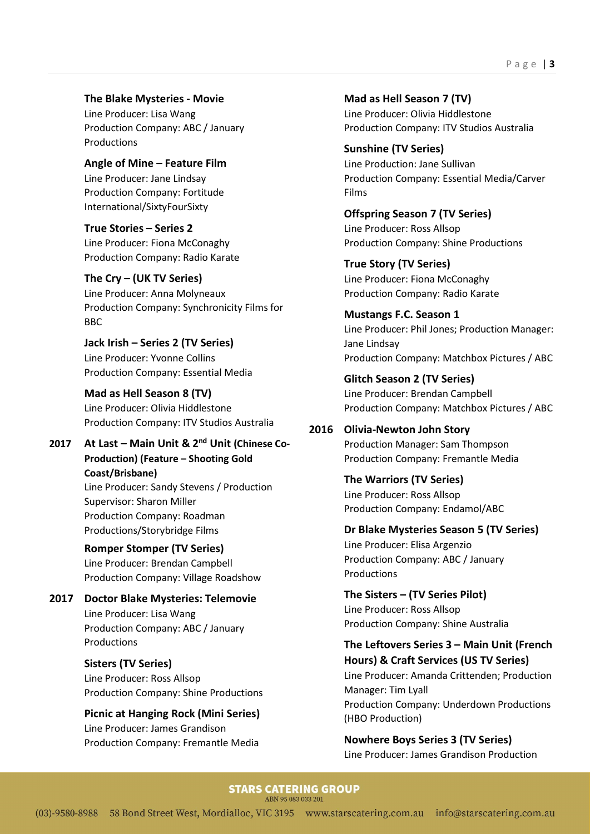The Blake Mysteries - Movie

Line Producer: Lisa Wang Production Company: ABC / January Productions

 Angle of Mine – Feature Film Line Producer: Jane Lindsay Production Company: Fortitude International/SixtyFourSixty

 True Stories – Series 2 Line Producer: Fiona McConaghy Production Company: Radio Karate

 The Cry – (UK TV Series) Line Producer: Anna Molyneaux Production Company: Synchronicity Films for BBC

Jack Irish – Series 2 (TV Series) Line Producer: Yvonne Collins Production Company: Essential Media

 Mad as Hell Season 8 (TV) Line Producer: Olivia Hiddlestone Production Company: ITV Studios Australia

2017 At Last – Main Unit & 2<sup>nd</sup> Unit (Chinese Co-Production) (Feature – Shooting Gold Coast/Brisbane) Line Producer: Sandy Stevens / Production Supervisor: Sharon Miller Production Company: Roadman Productions/Storybridge Films

> Romper Stomper (TV Series) Line Producer: Brendan Campbell Production Company: Village Roadshow

2017 Doctor Blake Mysteries: Telemovie Line Producer: Lisa Wang Production Company: ABC / January Productions

> Sisters (TV Series) Line Producer: Ross Allsop Production Company: Shine Productions

> Picnic at Hanging Rock (Mini Series) Line Producer: James Grandison Production Company: Fremantle Media

Mad as Hell Season 7 (TV) Line Producer: Olivia Hiddlestone Production Company: ITV Studios Australia

Sunshine (TV Series) Line Production: Jane Sullivan Production Company: Essential Media/Carver Films

Offspring Season 7 (TV Series) Line Producer: Ross Allsop Production Company: Shine Productions

True Story (TV Series) Line Producer: Fiona McConaghy Production Company: Radio Karate

 Mustangs F.C. Season 1 Line Producer: Phil Jones; Production Manager: Jane Lindsay Production Company: Matchbox Pictures / ABC

 Glitch Season 2 (TV Series) Line Producer: Brendan Campbell Production Company: Matchbox Pictures / ABC

2016 Olivia-Newton John Story Production Manager: Sam Thompson Production Company: Fremantle Media

> The Warriors (TV Series) Line Producer: Ross Allsop Production Company: Endamol/ABC

Dr Blake Mysteries Season 5 (TV Series) Line Producer: Elisa Argenzio

Production Company: ABC / January Productions

The Sisters – (TV Series Pilot) Line Producer: Ross Allsop Production Company: Shine Australia

(HBO Production)

The Leftovers Series 3 – Main Unit (French Hours) & Craft Services (US TV Series) Line Producer: Amanda Crittenden; Production Manager: Tim Lyall Production Company: Underdown Productions

Nowhere Boys Series 3 (TV Series) Line Producer: James Grandison Production

### **STARS CATERING GROUP**

ABN 95 083 033 201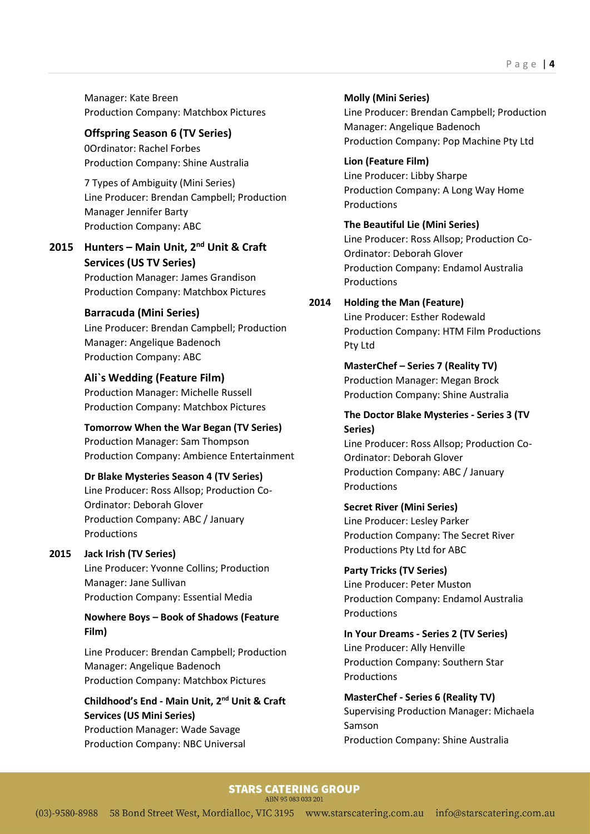Manager: Kate Breen Production Company: Matchbox Pictures

#### Offspring Season 6 (TV Series) 0Ordinator: Rachel Forbes

Production Company: Shine Australia

7 Types of Ambiguity (Mini Series) Line Producer: Brendan Campbell; Production Manager Jennifer Barty Production Company: ABC

## 2015 Hunters - Main Unit, 2<sup>nd</sup> Unit & Craft Services (US TV Series)

Production Manager: James Grandison Production Company: Matchbox Pictures

### Barracuda (Mini Series)

Line Producer: Brendan Campbell; Production Manager: Angelique Badenoch Production Company: ABC

### Ali`s Wedding (Feature Film)

Production Manager: Michelle Russell Production Company: Matchbox Pictures

### Tomorrow When the War Began (TV Series)

Production Manager: Sam Thompson Production Company: Ambience Entertainment

### Dr Blake Mysteries Season 4 (TV Series)

Line Producer: Ross Allsop; Production Co-Ordinator: Deborah Glover Production Company: ABC / January Productions

### 2015 Jack Irish (TV Series)

Line Producer: Yvonne Collins; Production Manager: Jane Sullivan Production Company: Essential Media

### Nowhere Boys – Book of Shadows (Feature Film)

 Line Producer: Brendan Campbell; Production Manager: Angelique Badenoch Production Company: Matchbox Pictures

# Childhood's End - Main Unit, 2nd Unit & Craft Services (US Mini Series)

Production Manager: Wade Savage Production Company: NBC Universal Molly (Mini Series) Line Producer: Brendan Campbell; Production Manager: Angelique Badenoch Production Company: Pop Machine Pty Ltd

Lion (Feature Film) Line Producer: Libby Sharpe Production Company: A Long Way Home **Productions** 

The Beautiful Lie (Mini Series) Line Producer: Ross Allsop; Production Co-Ordinator: Deborah Glover Production Company: Endamol Australia Productions

### 2014 Holding the Man (Feature)

Line Producer: Esther Rodewald Production Company: HTM Film Productions Pty Ltd

MasterChef – Series 7 (Reality TV) Production Manager: Megan Brock Production Company: Shine Australia

#### The Doctor Blake Mysteries - Series 3 (TV Series)

Line Producer: Ross Allsop; Production Co-Ordinator: Deborah Glover Production Company: ABC / January Productions

### Secret River (Mini Series)

Line Producer: Lesley Parker Production Company: The Secret River Productions Pty Ltd for ABC

Party Tricks (TV Series)

Line Producer: Peter Muston Production Company: Endamol Australia Productions

### In Your Dreams - Series 2 (TV Series) Line Producer: Ally Henville Production Company: Southern Star Productions

 MasterChef - Series 6 (Reality TV) Supervising Production Manager: Michaela Samson Production Company: Shine Australia

### **STARS CATERING GROUP**

ABN 95 083 033 201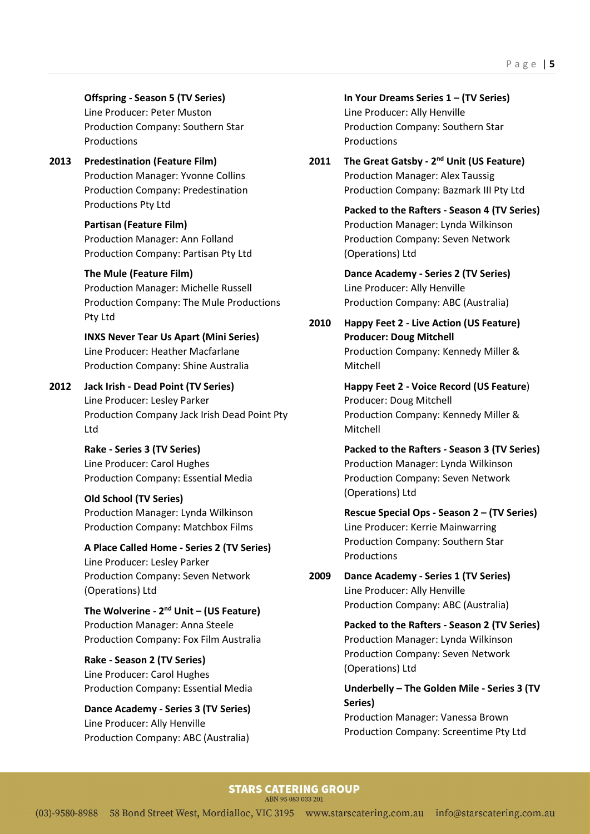#### Offspring - Season 5 (TV Series)

Line Producer: Peter Muston Production Company: Southern Star Productions

## 2013 Predestination (Feature Film) Production Manager: Yvonne Collins Production Company: Predestination Productions Pty Ltd

Partisan (Feature Film) Production Manager: Ann Folland Production Company: Partisan Pty Ltd

#### The Mule (Feature Film)

Production Manager: Michelle Russell Production Company: The Mule Productions Pty Ltd

INXS Never Tear Us Apart (Mini Series) Line Producer: Heather Macfarlane Production Company: Shine Australia

### 2012 Jack Irish - Dead Point (TV Series)

Line Producer: Lesley Parker Production Company Jack Irish Dead Point Pty Ltd

### Rake - Series 3 (TV Series) Line Producer: Carol Hughes Production Company: Essential Media

#### Old School (TV Series)

Production Manager: Lynda Wilkinson Production Company: Matchbox Films

### A Place Called Home - Series 2 (TV Series) Line Producer: Lesley Parker Production Company: Seven Network (Operations) Ltd

The Wolverine -  $2^{nd}$  Unit – (US Feature) Production Manager: Anna Steele Production Company: Fox Film Australia

### Rake - Season 2 (TV Series) Line Producer: Carol Hughes Production Company: Essential Media

Dance Academy - Series 3 (TV Series) Line Producer: Ally Henville Production Company: ABC (Australia)

In Your Dreams Series 1 – (TV Series) Line Producer: Ally Henville Production Company: Southern Star Productions

2011 The Great Gatsby - 2<sup>nd</sup> Unit (US Feature) Production Manager: Alex Taussig Production Company: Bazmark III Pty Ltd

> Packed to the Rafters - Season 4 (TV Series) Production Manager: Lynda Wilkinson Production Company: Seven Network (Operations) Ltd

 Dance Academy - Series 2 (TV Series) Line Producer: Ally Henville Production Company: ABC (Australia)

2010 Happy Feet 2 - Live Action (US Feature) Producer: Doug Mitchell Production Company: Kennedy Miller & Mitchell

> Happy Feet 2 - Voice Record (US Feature) Producer: Doug Mitchell Production Company: Kennedy Miller & Mitchell

 Packed to the Rafters - Season 3 (TV Series) Production Manager: Lynda Wilkinson Production Company: Seven Network (Operations) Ltd

 Rescue Special Ops - Season 2 – (TV Series) Line Producer: Kerrie Mainwarring Production Company: Southern Star **Productions** 

2009 Dance Academy - Series 1 (TV Series) Line Producer: Ally Henville Production Company: ABC (Australia)

> Packed to the Rafters - Season 2 (TV Series) Production Manager: Lynda Wilkinson Production Company: Seven Network (Operations) Ltd

 Underbelly – The Golden Mile - Series 3 (TV Series)

Production Manager: Vanessa Brown Production Company: Screentime Pty Ltd

#### **STARS CATERING GROUP**